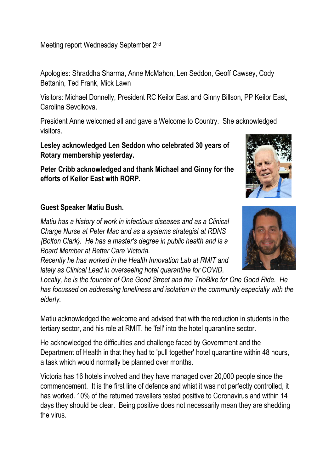Meeting report Wednesday September 2nd

Apologies: Shraddha Sharma, Anne McMahon, Len Seddon, Geoff Cawsey, Cody Bettanin, Ted Frank, Mick Lawn

Visitors: Michael Donnelly, President RC Keilor East and Ginny Billson, PP Keilor East, Carolina Sevcikova.

President Anne welcomed all and gave a Welcome to Country. She acknowledged visitors.

**Lesley acknowledged Len Seddon who celebrated 30 years of Rotary membership yesterday.**

**Peter Cribb acknowledged and thank Michael and Ginny for the efforts of Keilor East with RORP.**

### **Guest Speaker Matiu Bush.**

*Matiu has a history of work in infectious diseases and as a Clinical Charge Nurse at Peter Mac and as a systems strategist at RDNS {Bolton Clark}. He has a master's degree in public health and is a Board Member at Better Care Victoria.*

*Recently he has worked in the Health Innovation Lab at RMIT and lately as Clinical Lead in overseeing hotel quarantine for COVID.* 

*Locally, he is the founder of One Good Street and the TrioBike for One Good Ride. He has focussed on addressing loneliness and isolation in the community especially with the elderly.*

Matiu acknowledged the welcome and advised that with the reduction in students in the tertiary sector, and his role at RMIT, he 'fell' into the hotel quarantine sector.

He acknowledged the difficulties and challenge faced by Government and the Department of Health in that they had to 'pull together' hotel quarantine within 48 hours, a task which would normally be planned over months.

Victoria has 16 hotels involved and they have managed over 20,000 people since the commencement. It is the first line of defence and whist it was not perfectly controlled, it has worked. 10% of the returned travellers tested positive to Coronavirus and within 14 days they should be clear. Being positive does not necessarily mean they are shedding the virus.

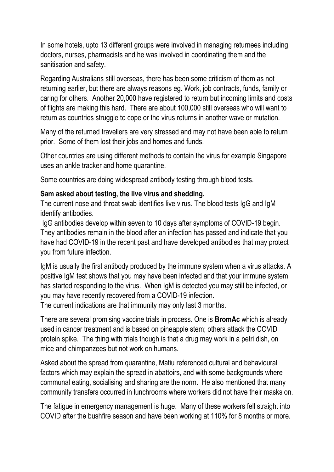In some hotels, upto 13 different groups were involved in managing returnees including doctors, nurses, pharmacists and he was involved in coordinating them and the sanitisation and safety.

Regarding Australians still overseas, there has been some criticism of them as not returning earlier, but there are always reasons eg. Work, job contracts, funds, family or caring for others. Another 20,000 have registered to return but incoming limits and costs of flights are making this hard. There are about 100,000 still overseas who will want to return as countries struggle to cope or the virus returns in another wave or mutation.

Many of the returned travellers are very stressed and may not have been able to return prior. Some of them lost their jobs and homes and funds.

Other countries are using different methods to contain the virus for example Singapore uses an ankle tracker and home quarantine.

Some countries are doing widespread antibody testing through blood tests.

### **Sam asked about testing, the live virus and shedding.**

The current nose and throat swab identifies live virus. The blood tests IgG and IgM identify antibodies.

IgG antibodies develop within seven to 10 days after symptoms of COVID-19 begin. They antibodies remain in the blood after an infection has passed and indicate that you have had COVID-19 in the recent past and have developed antibodies that may protect you from future infection.

IgM is usually the first antibody produced by the immune system when a virus attacks. A positive IgM test shows that you may have been infected and that your immune system has started responding to the virus. When IgM is detected you may still be infected, or you may have recently recovered from a COVID-19 infection.

The current indications are that immunity may only last 3 months.

There are several promising vaccine trials in process. One is **BromAc** which is already used in cancer treatment and is based on pineapple stem; others attack the COVID protein spike. The thing with trials though is that a drug may work in a petri dish, on mice and chimpanzees but not work on humans.

Asked about the spread from quarantine, Matiu referenced cultural and behavioural factors which may explain the spread in abattoirs, and with some backgrounds where communal eating, socialising and sharing are the norm. He also mentioned that many community transfers occurred in lunchrooms where workers did not have their masks on.

The fatigue in emergency management is huge. Many of these workers fell straight into COVID after the bushfire season and have been working at 110% for 8 months or more.